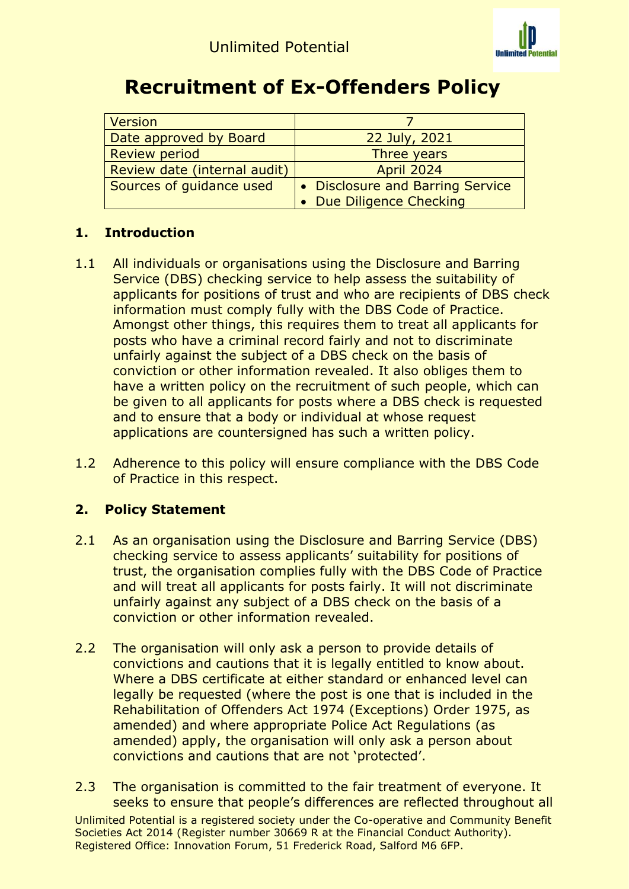

## **Recruitment of Ex-Offenders Policy**

| <b>Version</b>               |                                  |
|------------------------------|----------------------------------|
| Date approved by Board       | 22 July, 2021                    |
| <b>Review period</b>         | Three years                      |
| Review date (internal audit) | <b>April 2024</b>                |
| Sources of guidance used     | • Disclosure and Barring Service |
|                              | • Due Diligence Checking         |

## **1. Introduction**

- 1.1 All individuals or organisations using the Disclosure and Barring Service (DBS) checking service to help assess the suitability of applicants for positions of trust and who are recipients of DBS check information must comply fully with the DBS Code of Practice. Amongst other things, this requires them to treat all applicants for posts who have a criminal record fairly and not to discriminate unfairly against the subject of a DBS check on the basis of conviction or other information revealed. It also obliges them to have a written policy on the recruitment of such people, which can be given to all applicants for posts where a DBS check is requested and to ensure that a body or individual at whose request applications are countersigned has such a written policy.
- 1.2 Adherence to this policy will ensure compliance with the DBS Code of Practice in this respect.

## **2. Policy Statement**

- 2.1 As an organisation using the Disclosure and Barring Service (DBS) checking service to assess applicants' suitability for positions of trust, the organisation complies fully with the DBS Code of Practice and will treat all applicants for posts fairly. It will not discriminate unfairly against any subject of a DBS check on the basis of a conviction or other information revealed.
- 2.2 The organisation will only ask a person to provide details of convictions and cautions that it is legally entitled to know about. Where a DBS certificate at either standard or enhanced level can legally be requested (where the post is one that is included in the Rehabilitation of Offenders Act 1974 (Exceptions) Order 1975, as amended) and where appropriate Police Act Regulations (as amended) apply, the organisation will only ask a person about convictions and cautions that are not 'protected'.
- 2.3 The organisation is committed to the fair treatment of everyone. It seeks to ensure that people's differences are reflected throughout all

Unlimited Potential is a registered society under the Co-operative and Community Benefit Societies Act 2014 (Register number 30669 R at the Financial Conduct Authority). Registered Office: Innovation Forum, 51 Frederick Road, Salford M6 6FP.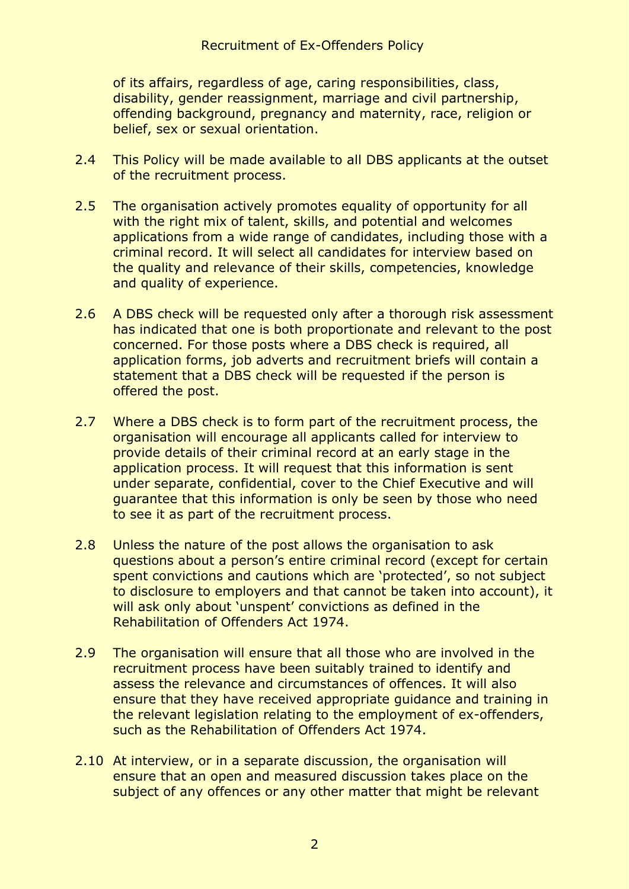of its affairs, regardless of age, caring responsibilities, class, disability, gender reassignment, marriage and civil partnership, offending background, pregnancy and maternity, race, religion or belief, sex or sexual orientation.

- 2.4 This Policy will be made available to all DBS applicants at the outset of the recruitment process.
- 2.5 The organisation actively promotes equality of opportunity for all with the right mix of talent, skills, and potential and welcomes applications from a wide range of candidates, including those with a criminal record. It will select all candidates for interview based on the quality and relevance of their skills, competencies, knowledge and quality of experience.
- 2.6 A DBS check will be requested only after a thorough risk assessment has indicated that one is both proportionate and relevant to the post concerned. For those posts where a DBS check is required, all application forms, job adverts and recruitment briefs will contain a statement that a DBS check will be requested if the person is offered the post.
- 2.7 Where a DBS check is to form part of the recruitment process, the organisation will encourage all applicants called for interview to provide details of their criminal record at an early stage in the application process. It will request that this information is sent under separate, confidential, cover to the Chief Executive and will guarantee that this information is only be seen by those who need to see it as part of the recruitment process.
- 2.8 Unless the nature of the post allows the organisation to ask questions about a person's entire criminal record (except for certain spent convictions and cautions which are 'protected', so not subject to disclosure to employers and that cannot be taken into account), it will ask only about 'unspent' convictions as defined in the Rehabilitation of Offenders Act 1974.
- 2.9 The organisation will ensure that all those who are involved in the recruitment process have been suitably trained to identify and assess the relevance and circumstances of offences. It will also ensure that they have received appropriate guidance and training in the relevant legislation relating to the employment of ex-offenders, such as the Rehabilitation of Offenders Act 1974.
- 2.10 At interview, or in a separate discussion, the organisation will ensure that an open and measured discussion takes place on the subject of any offences or any other matter that might be relevant